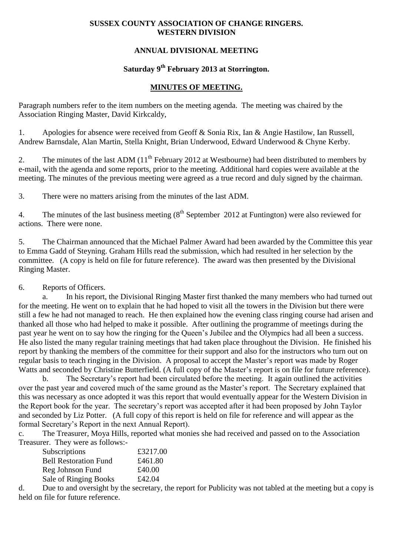#### **SUSSEX COUNTY ASSOCIATION OF CHANGE RINGERS. WESTERN DIVISION**

## **ANNUAL DIVISIONAL MEETING**

# **Saturday 9 th February 2013 at Storrington.**

### **MINUTES OF MEETING.**

Paragraph numbers refer to the item numbers on the meeting agenda. The meeting was chaired by the Association Ringing Master, David Kirkcaldy,

1. Apologies for absence were received from Geoff & Sonia Rix, Ian & Angie Hastilow, Ian Russell, Andrew Barnsdale, Alan Martin, Stella Knight, Brian Underwood, Edward Underwood & Chyne Kerby.

2. The minutes of the last ADM  $(11<sup>th</sup>$  February 2012 at Westbourne) had been distributed to members by e-mail, with the agenda and some reports, prior to the meeting. Additional hard copies were available at the meeting. The minutes of the previous meeting were agreed as a true record and duly signed by the chairman.

3. There were no matters arising from the minutes of the last ADM.

4. The minutes of the last business meeting  $(8^{th}$  September 2012 at Funtington) were also reviewed for actions. There were none.

5. The Chairman announced that the Michael Palmer Award had been awarded by the Committee this year to Emma Gadd of Steyning. Graham Hills read the submission, which had resulted in her selection by the committee. (A copy is held on file for future reference). The award was then presented by the Divisional Ringing Master.

### 6. Reports of Officers.

a. In his report, the Divisional Ringing Master first thanked the many members who had turned out for the meeting. He went on to explain that he had hoped to visit all the towers in the Division but there were still a few he had not managed to reach. He then explained how the evening class ringing course had arisen and thanked all those who had helped to make it possible. After outlining the programme of meetings during the past year he went on to say how the ringing for the Queen's Jubilee and the Olympics had all been a success. He also listed the many regular training meetings that had taken place throughout the Division. He finished his report by thanking the members of the committee for their support and also for the instructors who turn out on regular basis to teach ringing in the Division. A proposal to accept the Master's report was made by Roger Watts and seconded by Christine Butterfield. (A full copy of the Master's report is on file for future reference).

b. The Secretary's report had been circulated before the meeting. It again outlined the activities over the past year and covered much of the same ground as the Master's report. The Secretary explained that this was necessary as once adopted it was this report that would eventually appear for the Western Division in the Report book for the year. The secretary's report was accepted after it had been proposed by John Taylor and seconded by Liz Potter. (A full copy of this report is held on file for reference and will appear as the formal Secretary's Report in the next Annual Report).

c. The Treasurer, Moya Hills, reported what monies she had received and passed on to the Association Treasurer. They were as follows:-

| Subscriptions                | £3217.00 |
|------------------------------|----------|
| <b>Bell Restoration Fund</b> | £461.80  |
| Reg Johnson Fund             | £40.00   |
| Sale of Ringing Books        | £42.04   |

d. Due to and oversight by the secretary, the report for Publicity was not tabled at the meeting but a copy is held on file for future reference.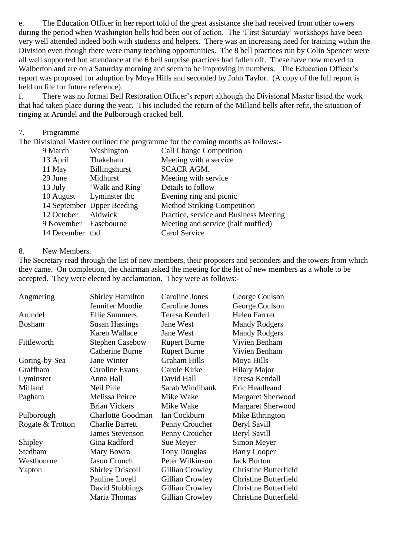e. The Education Officer in her report told of the great assistance she had received from other towers during the period when Washington bells had been out of action. The 'First Saturday' workshops have been very well attended indeed both with students and helpers. There was an increasing need for training within the Division even though there were many teaching opportunities. The 8 bell practices run by Colin Spencer were all well supported but attendance at the 6 bell surprise practices had fallen off. These have now moved to Walberton and are on a Saturday morning and seem to be improving in numbers. The Education Officer's report was proposed for adoption by Moya Hills and seconded by John Taylor. (A copy of the full report is held on file for future reference).

f. There was no formal Bell Restoration Officer's report although the Divisional Master listed the work that had taken place during the year. This included the return of the Milland bells after refit, the situation of ringing at Arundel and the Pulborough cracked bell.

#### 7. Programme

The Divisional Master outlined the programme for the coming months as follows:-

| 9 March               | Washington                 | <b>Call Change Competition</b>         |
|-----------------------|----------------------------|----------------------------------------|
| 13 April              | Thakeham                   | Meeting with a service                 |
| 11 May                | <b>Billingshurst</b>       | <b>SCACR AGM.</b>                      |
| 29 June               | Midhurst                   | Meeting with service                   |
| 13 July               | 'Walk and Ring'            | Details to follow                      |
| 10 August             | Lyminster tbc              | Evening ring and picnic                |
|                       | 14 September Upper Beeding | <b>Method Striking Competition</b>     |
| 12 October            | Aldwick                    | Practice, service and Business Meeting |
| 9 November Easebourne |                            | Meeting and service (half muffled)     |
| 14 December tbd       |                            | Carol Service                          |

#### 8. New Members.

The Secretary read through the list of new members, their proposers and seconders and the towers from which they came. On completion, the chairman asked the meeting for the list of new members as a whole to be accepted. They were elected by acclamation. They were as follows:-

| Angmering        | <b>Shirley Hamilton</b>  | <b>Caroline Jones</b> | George Coulson               |
|------------------|--------------------------|-----------------------|------------------------------|
|                  | Jennifer Moodie          | Caroline Jones        | George Coulson               |
| Arundel          | <b>Ellie Summers</b>     | Teresa Kendell        | Helen Farrrer                |
| Bosham           | <b>Susan Hastings</b>    | Jane West             | <b>Mandy Rodgers</b>         |
|                  | Karen Wallace            | Jane West             | <b>Mandy Rodgers</b>         |
| Fittleworth      | <b>Stephen Casebow</b>   | <b>Rupert Burne</b>   | Vivien Benham                |
|                  | <b>Catherine Burne</b>   | <b>Rupert Burne</b>   | Vivien Benham                |
| Goring-by-Sea    | Jane Winter              | <b>Graham Hills</b>   | Moya Hills                   |
| Graffham         | Caroline Evans           | Carole Kirke          | <b>Hilary Major</b>          |
| Lyminster        | Anna Hall                | David Hall            | Teresa Kendall               |
| Milland          | Neil Pirie               | Sarah Windibank       | Eric Headleand               |
| Pagham           | Melissa Peirce           | Mike Wake             | <b>Margaret Sherwood</b>     |
|                  | <b>Brian Vickers</b>     | Mike Wake             | <b>Margaret Sherwood</b>     |
| Pulborough       | <b>Charlotte Goodman</b> | Ian Cockburn          | Mike Ethrington              |
| Rogate & Trotton | <b>Charlie Barrett</b>   | Penny Croucher        | Beryl Savill                 |
|                  | <b>James Stevenson</b>   | Penny Croucher        | Beryl Savill                 |
| Shipley          | Gina Radford             | Sue Meyer             | Simon Meyer                  |
| Stedham          | Mary Bowra               | <b>Tony Douglas</b>   | <b>Barry Cooper</b>          |
| Westbourne       | Jason Crouch             | Peter Wilkinson       | <b>Jack Burton</b>           |
| Yapton           | <b>Shirley Driscoll</b>  | Gillian Crowley       | <b>Christine Butterfield</b> |
|                  | Pauline Lovell           | Gillian Crowley       | <b>Christine Butterfield</b> |
|                  | David Stubbings          | Gillian Crowley       | <b>Christine Butterfield</b> |
|                  | Maria Thomas             | Gillian Crowley       | <b>Christine Butterfield</b> |
|                  |                          |                       |                              |